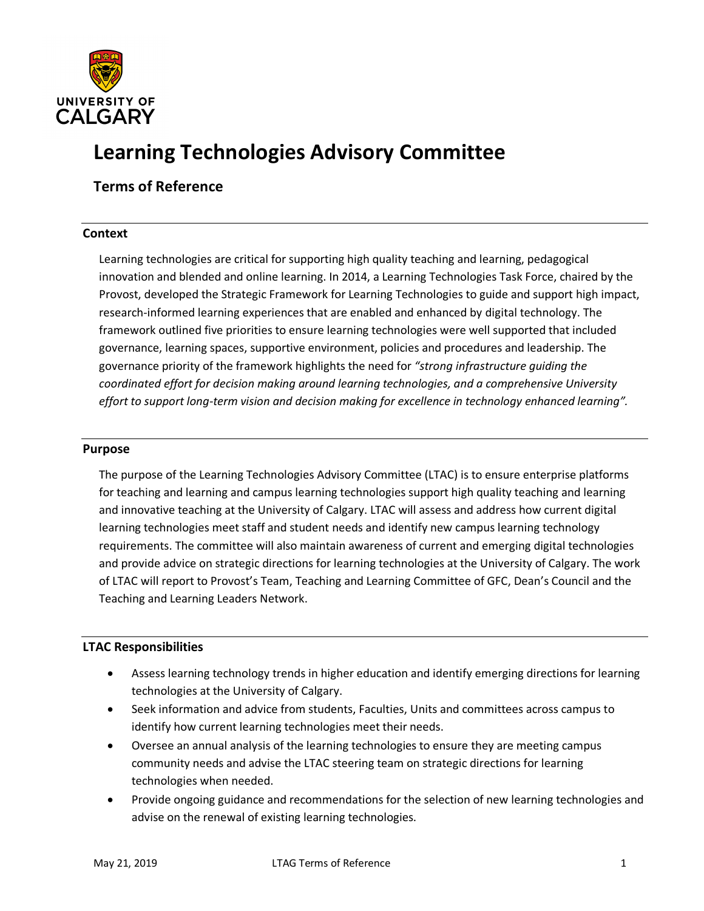

# **Learning Technologies Advisory Committee**

**Terms of Reference**

## **Context**

Learning technologies are critical for supporting high quality teaching and learning, pedagogical innovation and blended and online learning. In 2014, a Learning Technologies Task Force, chaired by the Provost, developed the Strategic Framework for Learning Technologies to guide and support high impact, research-informed learning experiences that are enabled and enhanced by digital technology. The framework outlined five priorities to ensure learning technologies were well supported that included governance, learning spaces, supportive environment, policies and procedures and leadership. The governance priority of the framework highlights the need for *"strong infrastructure guiding the coordinated effort for decision making around learning technologies, and a comprehensive University effort to support long-term vision and decision making for excellence in technology enhanced learning".*

#### **Purpose**

The purpose of the Learning Technologies Advisory Committee (LTAC) is to ensure enterprise platforms for teaching and learning and campus learning technologies support high quality teaching and learning and innovative teaching at the University of Calgary. LTAC will assess and address how current digital learning technologies meet staff and student needs and identify new campus learning technology requirements. The committee will also maintain awareness of current and emerging digital technologies and provide advice on strategic directions for learning technologies at the University of Calgary. The work of LTAC will report to Provost's Team, Teaching and Learning Committee of GFC, Dean's Council and the Teaching and Learning Leaders Network.

#### **LTAC Responsibilities**

- Assess learning technology trends in higher education and identify emerging directions for learning technologies at the University of Calgary.
- Seek information and advice from students, Faculties, Units and committees across campus to identify how current learning technologies meet their needs.
- Oversee an annual analysis of the learning technologies to ensure they are meeting campus community needs and advise the LTAC steering team on strategic directions for learning technologies when needed.
- Provide ongoing guidance and recommendations for the selection of new learning technologies and advise on the renewal of existing learning technologies.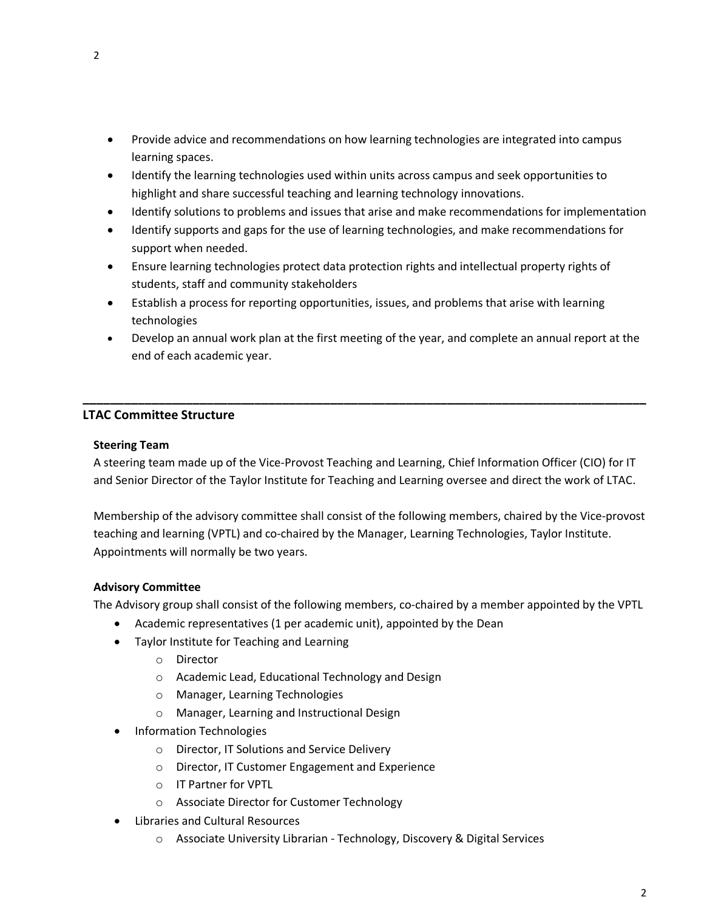- Provide advice and recommendations on how learning technologies are integrated into campus learning spaces.
- Identify the learning technologies used within units across campus and seek opportunities to highlight and share successful teaching and learning technology innovations.
- Identify solutions to problems and issues that arise and make recommendations for implementation
- Identify supports and gaps for the use of learning technologies, and make recommendations for support when needed.
- Ensure learning technologies protect data protection rights and intellectual property rights of students, staff and community stakeholders
- Establish a process for reporting opportunities, issues, and problems that arise with learning technologies
- Develop an annual work plan at the first meeting of the year, and complete an annual report at the end of each academic year.

# **LTAC Committee Structure**

# **Steering Team**

A steering team made up of the Vice-Provost Teaching and Learning, Chief Information Officer (CIO) for IT and Senior Director of the Taylor Institute for Teaching and Learning oversee and direct the work of LTAC.

**\_\_\_\_\_\_\_\_\_\_\_\_\_\_\_\_\_\_\_\_\_\_\_\_\_\_\_\_\_\_\_\_\_\_\_\_\_\_\_\_\_\_\_\_\_\_\_\_\_\_\_\_\_\_\_\_\_\_\_\_\_\_\_\_\_\_\_\_\_\_\_\_\_\_\_\_\_\_\_\_\_\_**

Membership of the advisory committee shall consist of the following members, chaired by the Vice-provost teaching and learning (VPTL) and co-chaired by the Manager, Learning Technologies, Taylor Institute. Appointments will normally be two years.

# **Advisory Committee**

The Advisory group shall consist of the following members, co-chaired by a member appointed by the VPTL

- Academic representatives (1 per academic unit), appointed by the Dean
- Taylor Institute for Teaching and Learning
	- o Director
	- o Academic Lead, Educational Technology and Design
	- o Manager, Learning Technologies
	- o Manager, Learning and Instructional Design
- Information Technologies
	- o Director, IT Solutions and Service Delivery
	- o Director, IT Customer Engagement and Experience
	- o IT Partner for VPTL
	- o Associate Director for Customer Technology
- Libraries and Cultural Resources
	- o Associate University Librarian Technology, Discovery & Digital Services